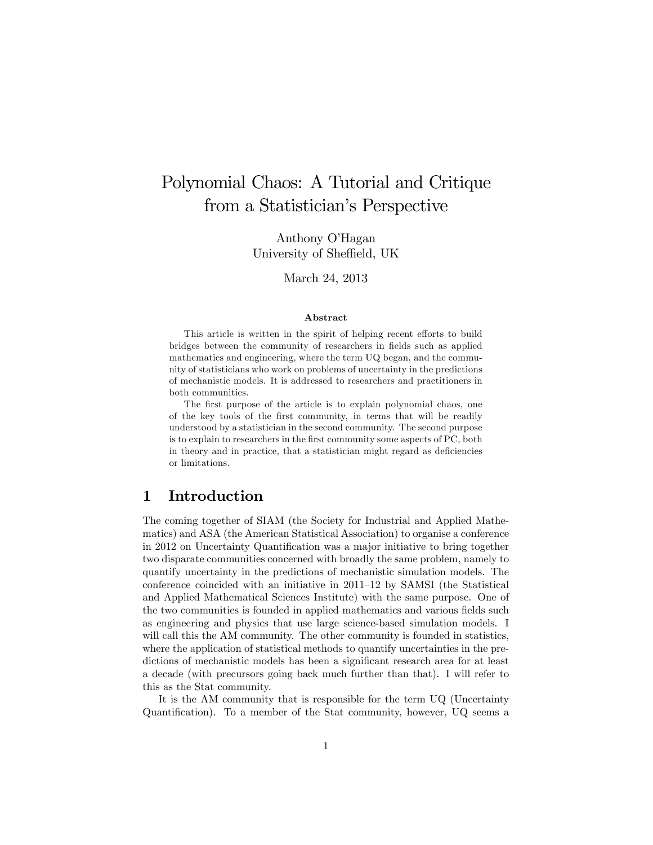# Polynomial Chaos: A Tutorial and Critique from a Statistician's Perspective

Anthony O'Hagan University of Sheffield, UK

March 24, 2013

#### Abstract

This article is written in the spirit of helping recent efforts to build bridges between the community of researchers in fields such as applied mathematics and engineering, where the term UQ began, and the community of statisticians who work on problems of uncertainty in the predictions of mechanistic models. It is addressed to researchers and practitioners in both communities.

The first purpose of the article is to explain polynomial chaos, one of the key tools of the first community, in terms that will be readily understood by a statistician in the second community. The second purpose is to explain to researchers in the first community some aspects of PC, both in theory and in practice, that a statistician might regard as deficiencies or limitations.

### 1 Introduction

The coming together of SIAM (the Society for Industrial and Applied Mathematics) and ASA (the American Statistical Association) to organise a conference in 2012 on Uncertainty Quantification was a major initiative to bring together two disparate communities concerned with broadly the same problem, namely to quantify uncertainty in the predictions of mechanistic simulation models. The conference coincided with an initiative in  $2011-12$  by SAMSI (the Statistical and Applied Mathematical Sciences Institute) with the same purpose. One of the two communities is founded in applied mathematics and various fields such as engineering and physics that use large science-based simulation models. I will call this the AM community. The other community is founded in statistics, where the application of statistical methods to quantify uncertainties in the predictions of mechanistic models has been a significant research area for at least a decade (with precursors going back much further than that). I will refer to this as the Stat community.

It is the AM community that is responsible for the term UQ (Uncertainty Quantification). To a member of the Stat community, however, UQ seems a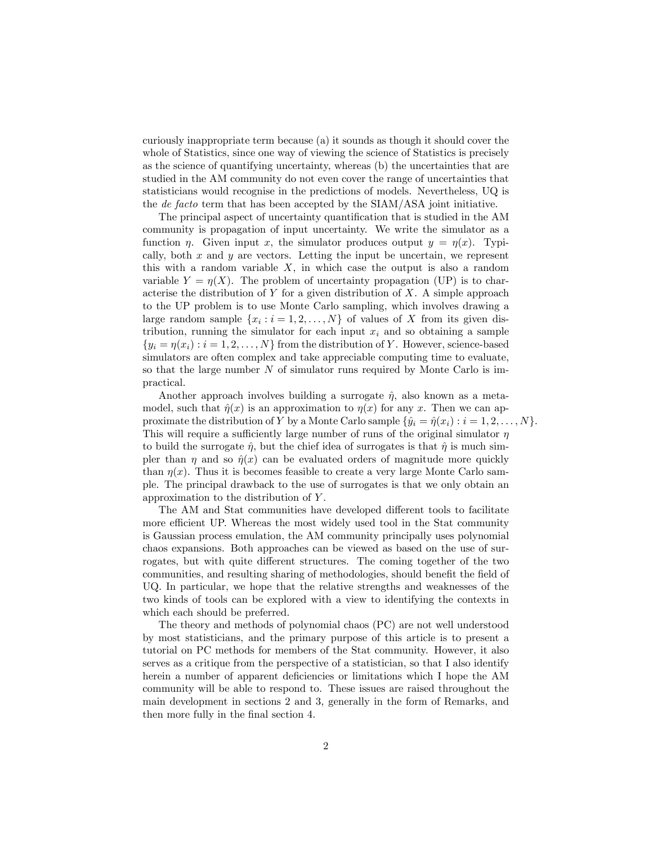curiously inappropriate term because (a) it sounds as though it should cover the whole of Statistics, since one way of viewing the science of Statistics is precisely as the science of quantifying uncertainty, whereas (b) the uncertainties that are studied in the AM community do not even cover the range of uncertainties that statisticians would recognise in the predictions of models. Nevertheless, UQ is the de facto term that has been accepted by the SIAM/ASA joint initiative.

The principal aspect of uncertainty quantification that is studied in the AM community is propagation of input uncertainty. We write the simulator as a function  $\eta$ . Given input x, the simulator produces output  $y = \eta(x)$ . Typically, both  $x$  and  $y$  are vectors. Letting the input be uncertain, we represent this with a random variable  $X$ , in which case the output is also a random variable  $Y = \eta(X)$ . The problem of uncertainty propagation (UP) is to characterise the distribution of  $Y$  for a given distribution of  $X$ . A simple approach to the UP problem is to use Monte Carlo sampling, which involves drawing a large random sample  $\{x_i : i = 1, 2, ..., N\}$  of values of X from its given distribution, running the simulator for each input  $x_i$  and so obtaining a sample  $\{y_i = \eta(x_i) : i = 1, 2, \ldots, N\}$  from the distribution of Y. However, science-based simulators are often complex and take appreciable computing time to evaluate, so that the large number  $N$  of simulator runs required by Monte Carlo is impractical.

Another approach involves building a surrogate  $\hat{\eta}$ , also known as a metamodel, such that  $\hat{\eta}(x)$  is an approximation to  $\eta(x)$  for any x. Then we can approximate the distribution of Y by a Monte Carlo sample  $\{\hat{y}_i = \hat{\eta}(x_i) : i = 1, 2, \ldots, N\}$ . This will require a sufficiently large number of runs of the original simulator  $\eta$ to build the surrogate  $\hat{\eta}$ , but the chief idea of surrogates is that  $\hat{\eta}$  is much simpler than  $\eta$  and so  $\hat{\eta}(x)$  can be evaluated orders of magnitude more quickly than  $\eta(x)$ . Thus it is becomes feasible to create a very large Monte Carlo sample. The principal drawback to the use of surrogates is that we only obtain an approximation to the distribution of Y .

The AM and Stat communities have developed different tools to facilitate more efficient UP. Whereas the most widely used tool in the Stat community is Gaussian process emulation, the AM community principally uses polynomial chaos expansions. Both approaches can be viewed as based on the use of surrogates, but with quite different structures. The coming together of the two communities, and resulting sharing of methodologies, should benefit the field of UQ. In particular, we hope that the relative strengths and weaknesses of the two kinds of tools can be explored with a view to identifying the contexts in which each should be preferred.

The theory and methods of polynomial chaos (PC) are not well understood by most statisticians, and the primary purpose of this article is to present a tutorial on PC methods for members of the Stat community. However, it also serves as a critique from the perspective of a statistician, so that I also identify herein a number of apparent deficiencies or limitations which I hope the AM community will be able to respond to. These issues are raised throughout the main development in sections 2 and 3, generally in the form of Remarks, and then more fully in the final section 4.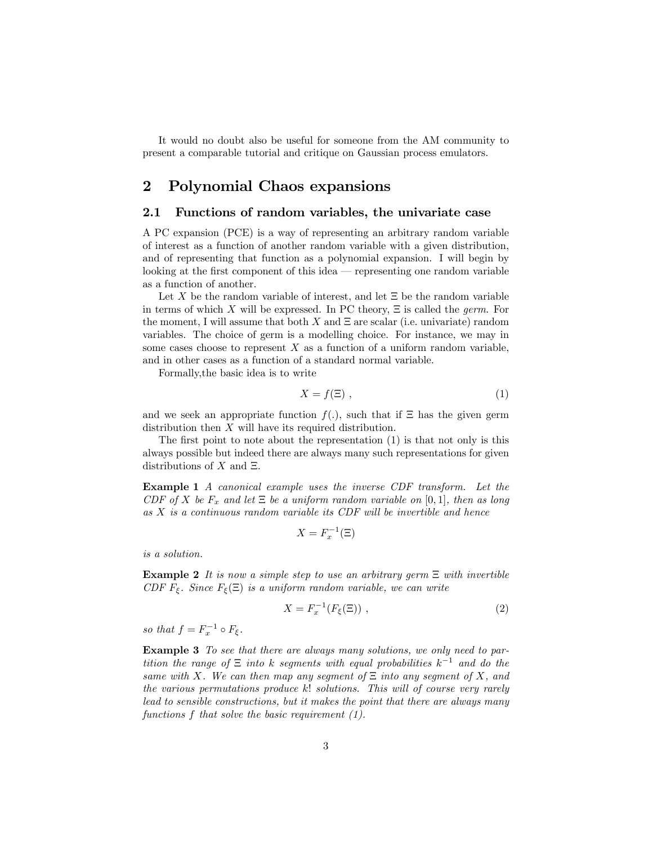It would no doubt also be useful for someone from the AM community to present a comparable tutorial and critique on Gaussian process emulators.

### 2 Polynomial Chaos expansions

#### 2.1 Functions of random variables, the univariate case

A PC expansion (PCE) is a way of representing an arbitrary random variable of interest as a function of another random variable with a given distribution, and of representing that function as a polynomial expansion. I will begin by looking at the first component of this idea  $-$  representing one random variable as a function of another.

Let X be the random variable of interest, and let  $\Xi$  be the random variable in terms of which X will be expressed. In PC theory,  $\Xi$  is called the *germ*. For the moment, I will assume that both  $X$  and  $\Xi$  are scalar (i.e. univariate) random variables. The choice of germ is a modelling choice. For instance, we may in some cases choose to represent  $X$  as a function of a uniform random variable, and in other cases as a function of a standard normal variable.

Formally,the basic idea is to write

$$
X = f(\Xi) \tag{1}
$$

and we seek an appropriate function  $f(.)$ , such that if  $\Xi$  has the given germ distribution then X will have its required distribution.

The first point to note about the representation  $(1)$  is that not only is this always possible but indeed there are always many such representations for given distributions of  $X$  and  $\Xi$ .

Example 1 A canonical example uses the inverse CDF transform. Let the CDF of X be  $F_x$  and let  $\Xi$  be a uniform random variable on [0, 1], then as long as X is a continuous random variable its CDF will be invertible and hence

$$
X = F_x^{-1}(\Xi)
$$

is a solution.

**Example 2** It is now a simple step to use an arbitrary germ  $\Xi$  with invertible CDF  $F_{\xi}$ . Since  $F_{\xi}(\Xi)$  is a uniform random variable, we can write

$$
X = F_x^{-1}(F_{\xi}(\Xi)) , \qquad (2)
$$

so that  $f = F_x^{-1} \circ F_{\xi}$ .

Example 3 To see that there are always many solutions, we only need to partition the range of  $\Xi$  into k segments with equal probabilities  $k^{-1}$  and do the same with X. We can then map any segment of  $\Xi$  into any segment of X, and the various permutations produce k! solutions. This will of course very rarely lead to sensible constructions, but it makes the point that there are always many functions f that solve the basic requirement (1).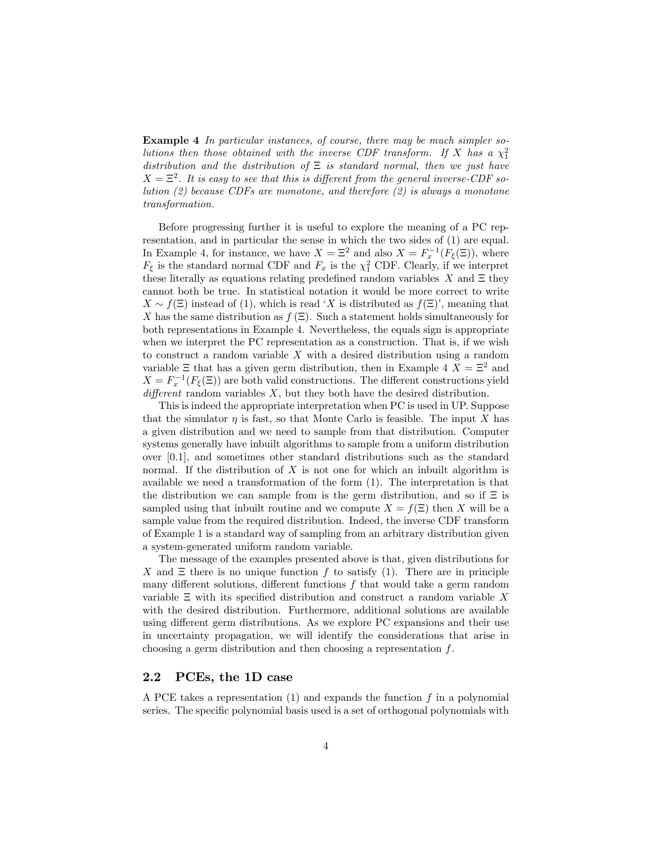Example 4 In particular instances, of course, there may be much simpler solutions then those obtained with the inverse CDF transform. If X has a  $\chi_1^2$ distribution and the distribution of  $\Xi$  is standard normal, then we just have  $X = \Xi^2$ . It is easy to see that this is different from the general inverse-CDF solution  $(2)$  because CDFs are monotone, and therefore  $(2)$  is always a monotone transformation.

Before progressing further it is useful to explore the meaning of a PC representation, and in particular the sense in which the two sides of (1) are equal. In Example 4, for instance, we have  $X = \Xi^2$  and also  $X = F_x^{-1}(F_{\xi}(\Xi))$ , where  $F_{\xi}$  is the standard normal CDF and  $F_x$  is the  $\chi^2$  CDF. Clearly, if we interpret these literally as equations relating predefined random variables  $X$  and  $\Xi$  they cannot both be true. In statistical notation it would be more correct to write  $X \sim f(\Xi)$  instead of (1), which is read 'X is distributed as  $f(\Xi)$ ', meaning that X has the same distribution as  $f(\Xi)$ . Such a statement holds simultaneously for both representations in Example 4. Nevertheless, the equals sign is appropriate when we interpret the PC representation as a construction. That is, if we wish to construct a random variable  $X$  with a desired distribution using a random variable  $\Xi$  that has a given germ distribution, then in Example 4  $X = \Xi^2$  and  $X = F_x^{-1}(F_{\xi}(\Xi))$  are both valid constructions. The different constructions yield different random variables  $X$ , but they both have the desired distribution.

This is indeed the appropriate interpretation when PC is used in UP. Suppose that the simulator  $\eta$  is fast, so that Monte Carlo is feasible. The input X has a given distribution and we need to sample from that distribution. Computer systems generally have inbuilt algorithms to sample from a uniform distribution over [0:1], and sometimes other standard distributions such as the standard normal. If the distribution of  $X$  is not one for which an inbuilt algorithm is available we need a transformation of the form (1). The interpretation is that the distribution we can sample from is the germ distribution, and so if  $\Xi$  is sampled using that inbuilt routine and we compute  $X = f(\Xi)$  then X will be a sample value from the required distribution. Indeed, the inverse CDF transform of Example 1 is a standard way of sampling from an arbitrary distribution given a system-generated uniform random variable.

The message of the examples presented above is that, given distributions for X and  $\Xi$  there is no unique function f to satisfy (1). There are in principle many different solutions, different functions  $f$  that would take a germ random variable  $\Xi$  with its specified distribution and construct a random variable X with the desired distribution. Furthermore, additional solutions are available using different germ distributions. As we explore PC expansions and their use in uncertainty propagation, we will identify the considerations that arise in choosing a germ distribution and then choosing a representation f.

#### 2.2 PCEs, the 1D case

A PCE takes a representation  $(1)$  and expands the function  $f$  in a polynomial series. The specific polynomial basis used is a set of orthogonal polynomials with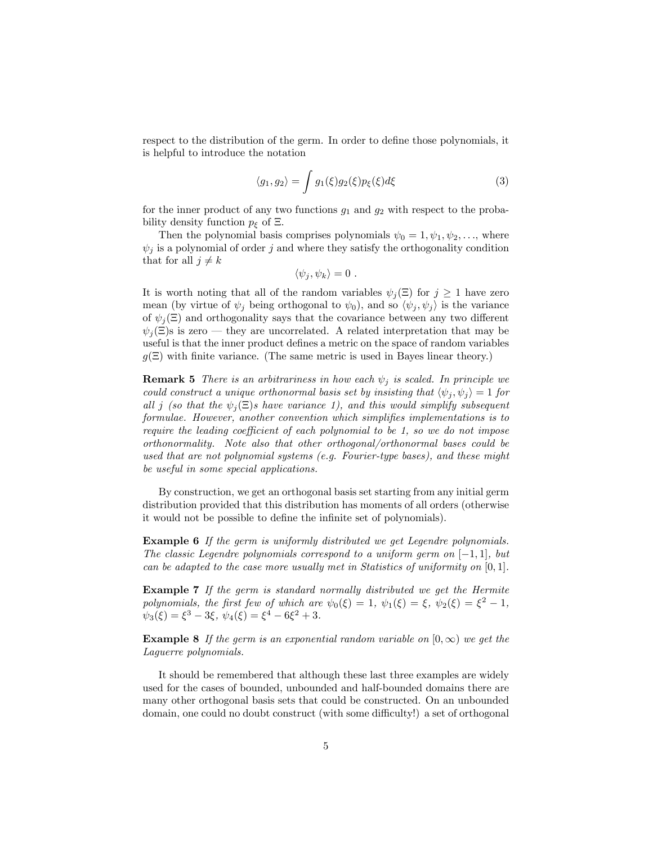respect to the distribution of the germ. In order to define those polynomials, it is helpful to introduce the notation

$$
\langle g_1, g_2 \rangle = \int g_1(\xi) g_2(\xi) p_{\xi}(\xi) d\xi \tag{3}
$$

for the inner product of any two functions  $g_1$  and  $g_2$  with respect to the probability density function  $p_{\xi}$  of  $\Xi$ .

Then the polynomial basis comprises polynomials  $\psi_0 = 1, \psi_1, \psi_2, \dots$ , where  $\psi_i$  is a polynomial of order j and where they satisfy the orthogonality condition that for all  $j \neq k$ 

$$
\langle \psi_j, \psi_k \rangle = 0 \ .
$$

It is worth noting that all of the random variables  $\psi_i(\Xi)$  for  $j \geq 1$  have zero mean (by virtue of  $\psi_i$  being orthogonal to  $\psi_0$ ), and so  $\langle \psi_i, \psi_j \rangle$  is the variance of  $\psi_i(\Xi)$  and orthogonality says that the covariance between any two different  $\psi_i(\Xi)$ s is zero – they are uncorrelated. A related interpretation that may be useful is that the inner product defines a metric on the space of random variables  $g(\Xi)$  with finite variance. (The same metric is used in Bayes linear theory.)

**Remark 5** There is an arbitrariness in how each  $\psi_j$  is scaled. In principle we could construct a unique orthonormal basis set by insisting that  $\langle \psi_j, \psi_j \rangle = 1$  for all j (so that the  $\psi_i(\Xi)$ s have variance 1), and this would simplify subsequent formulae. However, another convention which simplifies implementations is to require the leading coefficient of each polynomial to be 1, so we do not impose orthonormality. Note also that other orthogonal/orthonormal bases could be used that are not polynomial systems (e.g. Fourier-type bases), and these might be useful in some special applications.

By construction, we get an orthogonal basis set starting from any initial germ distribution provided that this distribution has moments of all orders (otherwise it would not be possible to define the infinite set of polynomials).

**Example 6** If the germ is uniformly distributed we get Legendre polynomials. The classic Legendre polynomials correspond to a uniform germ on  $[-1, 1]$ , but can be adapted to the case more usually met in Statistics of uniformity on  $[0, 1]$ .

Example 7 If the germ is standard normally distributed we get the Hermite polynomials, the first few of which are  $\psi_0(\xi) = 1$ ,  $\psi_1(\xi) = \xi$ ,  $\psi_2(\xi) = \xi^2 - 1$ ,  $\psi_3(\xi) = \xi^3 - 3\xi, \ \psi_4(\xi) = \xi^4 - 6\xi^2 + 3.$ 

**Example 8** If the germ is an exponential random variable on  $[0, \infty)$  we get the Laguerre polynomials.

It should be remembered that although these last three examples are widely used for the cases of bounded, unbounded and half-bounded domains there are many other orthogonal basis sets that could be constructed. On an unbounded domain, one could no doubt construct (with some difficulty!) a set of orthogonal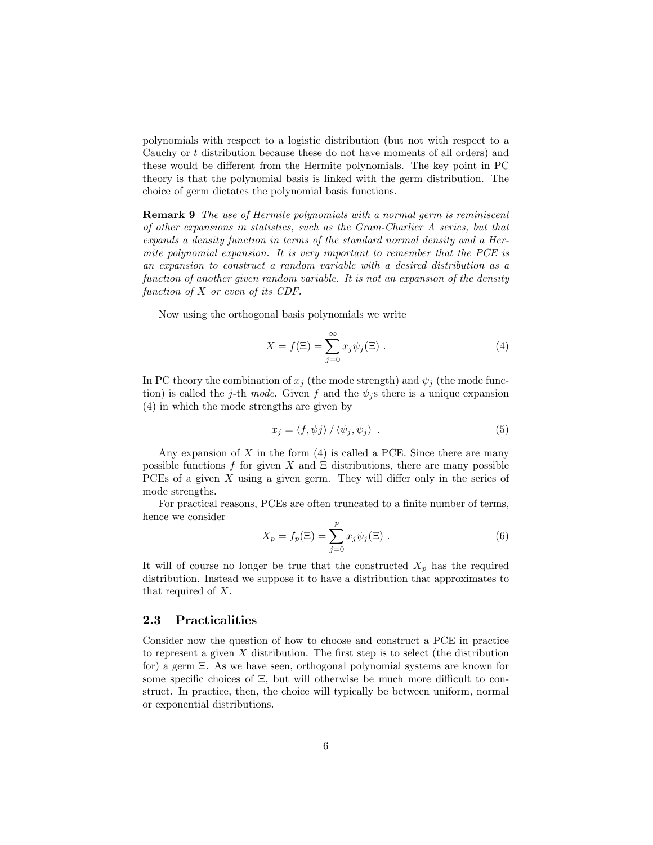polynomials with respect to a logistic distribution (but not with respect to a Cauchy or t distribution because these do not have moments of all orders) and these would be different from the Hermite polynomials. The key point in PC theory is that the polynomial basis is linked with the germ distribution. The choice of germ dictates the polynomial basis functions.

**Remark 9** The use of Hermite polynomials with a normal germ is reminiscent of other expansions in statistics, such as the Gram-Charlier A series, but that expands a density function in terms of the standard normal density and a Hermite polynomial expansion. It is very important to remember that the PCE is an expansion to construct a random variable with a desired distribution as a function of another given random variable. It is not an expansion of the density function of X or even of its CDF.

Now using the orthogonal basis polynomials we write

$$
X = f(\Xi) = \sum_{j=0}^{\infty} x_j \psi_j(\Xi) . \tag{4}
$$

In PC theory the combination of  $x_j$  (the mode strength) and  $\psi_j$  (the mode function) is called the j-th mode. Given f and the  $\psi_j$ s there is a unique expansion (4) in which the mode strengths are given by

$$
x_j = \langle f, \psi j \rangle / \langle \psi_j, \psi_j \rangle . \tag{5}
$$

Any expansion of  $X$  in the form  $(4)$  is called a PCE. Since there are many possible functions f for given X and  $\Xi$  distributions, there are many possible PCEs of a given  $X$  using a given germ. They will differ only in the series of mode strengths.

For practical reasons, PCEs are often truncated to a finite number of terms, hence we consider

$$
X_p = f_p(\Xi) = \sum_{j=0}^p x_j \psi_j(\Xi) .
$$
 (6)

It will of course no longer be true that the constructed  $X_p$  has the required distribution. Instead we suppose it to have a distribution that approximates to that required of X.

#### 2.3 Practicalities

Consider now the question of how to choose and construct a PCE in practice to represent a given  $X$  distribution. The first step is to select (the distribution for) a germ  $\Xi$ . As we have seen, orthogonal polynomial systems are known for some specific choices of  $\Xi$ , but will otherwise be much more difficult to construct. In practice, then, the choice will typically be between uniform, normal or exponential distributions.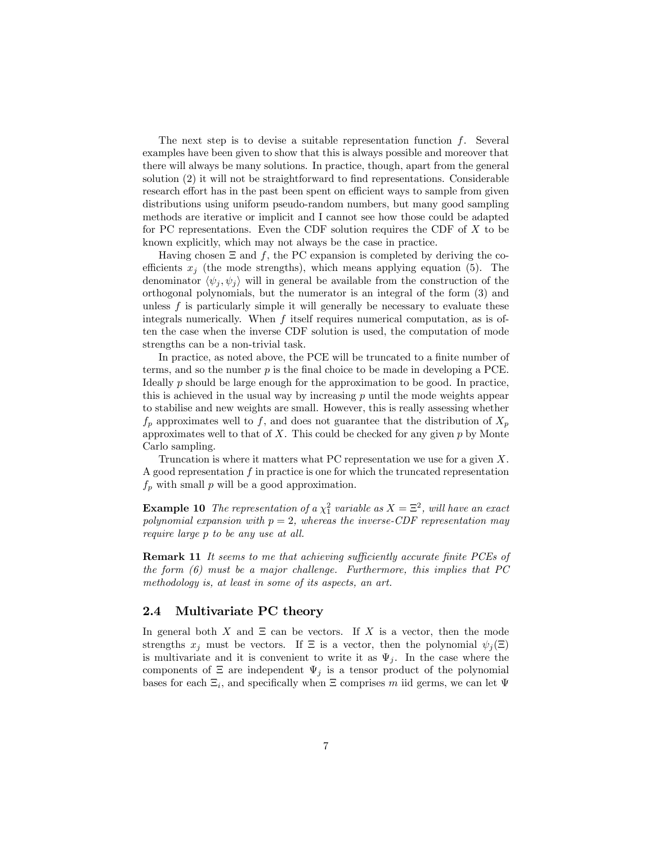The next step is to devise a suitable representation function  $f$ . Several examples have been given to show that this is always possible and moreover that there will always be many solutions. In practice, though, apart from the general solution  $(2)$  it will not be straightforward to find representations. Considerable research effort has in the past been spent on efficient ways to sample from given distributions using uniform pseudo-random numbers, but many good sampling methods are iterative or implicit and I cannot see how those could be adapted for PC representations. Even the CDF solution requires the CDF of  $X$  to be known explicitly, which may not always be the case in practice.

Having chosen  $\Xi$  and f, the PC expansion is completed by deriving the coefficients  $x_j$  (the mode strengths), which means applying equation (5). The denominator  $\langle \psi_i, \psi_i \rangle$  will in general be available from the construction of the orthogonal polynomials, but the numerator is an integral of the form (3) and unless  $f$  is particularly simple it will generally be necessary to evaluate these integrals numerically. When f itself requires numerical computation, as is often the case when the inverse CDF solution is used, the computation of mode strengths can be a non-trivial task.

In practice, as noted above, the PCE will be truncated to a finite number of terms, and so the number  $p$  is the final choice to be made in developing a PCE. Ideally  $p$  should be large enough for the approximation to be good. In practice, this is achieved in the usual way by increasing  $p$  until the mode weights appear to stabilise and new weights are small. However, this is really assessing whether  $f_p$  approximates well to f, and does not guarantee that the distribution of  $X_p$ approximates well to that of  $X$ . This could be checked for any given  $p$  by Monte Carlo sampling.

Truncation is where it matters what PC representation we use for a given X. A good representation  $f$  in practice is one for which the truncated representation  $f_p$  with small  $p$  will be a good approximation.

**Example 10** The representation of a  $\chi^2$  variable as  $X = \Xi^2$ , will have an exact polynomial expansion with  $p = 2$ , whereas the inverse-CDF representation may require large p to be any use at all.

Remark 11 It seems to me that achieving sufficiently accurate finite PCEs of the form  $(6)$  must be a major challenge. Furthermore, this implies that PC methodology is, at least in some of its aspects, an art.

#### 2.4 Multivariate PC theory

In general both X and  $\Xi$  can be vectors. If X is a vector, then the mode strengths  $x_i$  must be vectors. If  $\Xi$  is a vector, then the polynomial  $\psi_i(\Xi)$ is multivariate and it is convenient to write it as  $\Psi_i$ . In the case where the components of  $\Xi$  are independent  $\Psi_j$  is a tensor product of the polynomial bases for each  $\Xi_i$ , and specifically when  $\Xi$  comprises m iid germs, we can let  $\Psi$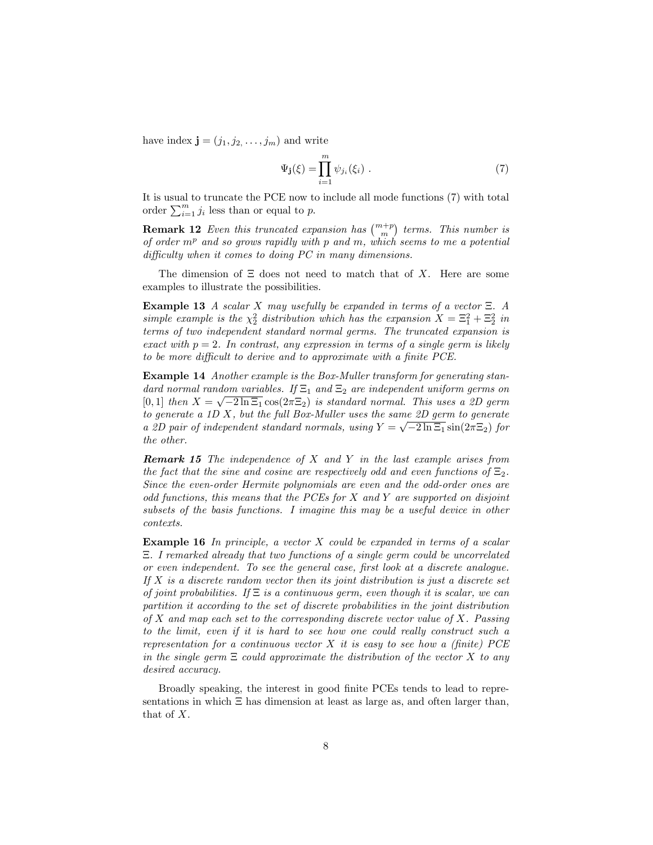have index  $\mathbf{j} = (j_1, j_2, \dots, j_m)$  and write

$$
\Psi_{\mathbf{j}}(\xi) = \prod_{i=1}^{m} \psi_{j_i}(\xi_i) \tag{7}
$$

It is usual to truncate the PCE now to include all mode functions (7) with total order  $\sum_{i=1}^{m} j_i$  less than or equal to p.

**Remark 12** Even this truncated expansion has  $\binom{m+p}{m}$  terms. This number is of order  $m<sup>p</sup>$  and so grows rapidly with p and m, which seems to me a potential difficulty when it comes to doing  $PC$  in many dimensions.

The dimension of  $\Xi$  does not need to match that of X. Here are some examples to illustrate the possibilities.

**Example 13** A scalar X may usefully be expanded in terms of a vector  $\Xi$ . A simple example is the  $\chi^2$  distribution which has the expansion  $X = \Xi_1^2 + \Xi_2^2$  in terms of two independent standard normal germs. The truncated expansion is exact with  $p = 2$ . In contrast, any expression in terms of a single germ is likely to be more difficult to derive and to approximate with a finite  $PCE$ .

Example 14 Another example is the Box-Muller transform for generating standard normal random variables. If  $\Xi_1$  and  $\Xi_2$  are independent uniform germs on [0, 1] then  $X = \sqrt{-2\ln 2_1} \cos(2\pi \Xi_2)$  is standard normal. This uses a 2D germ to generate a 1D  $X$ , but the full Box-Muller uses the same 2D germ to generate a 2D pair of independent standard normals, using  $Y = \sqrt{-2 \ln \Xi_1} \sin(2\pi \Xi_2)$  for the other.

**Remark 15** The independence of X and Y in the last example arises from the fact that the sine and cosine are respectively odd and even functions of  $\Xi_2$ . Since the even-order Hermite polynomials are even and the odd-order ones are odd functions, this means that the PCEs for  $X$  and  $Y$  are supported on disjoint subsets of the basis functions. I imagine this may be a useful device in other contexts.

**Example 16** In principle, a vector  $X$  could be expanded in terms of a scalar . I remarked already that two functions of a single germ could be uncorrelated or even independent. To see the general case, Örst look at a discrete analogue. If  $X$  is a discrete random vector then its joint distribution is just a discrete set of joint probabilities. If  $\Xi$  is a continuous germ, even though it is scalar, we can partition it according to the set of discrete probabilities in the joint distribution of X and map each set to the corresponding discrete vector value of X. Passing to the limit, even if it is hard to see how one could really construct such a representation for a continuous vector  $X$  it is easy to see how a (finite) PCE in the single germ  $\Xi$  could approximate the distribution of the vector X to any desired accuracy.

Broadly speaking, the interest in good finite PCEs tends to lead to representations in which  $\Xi$  has dimension at least as large as, and often larger than, that of X.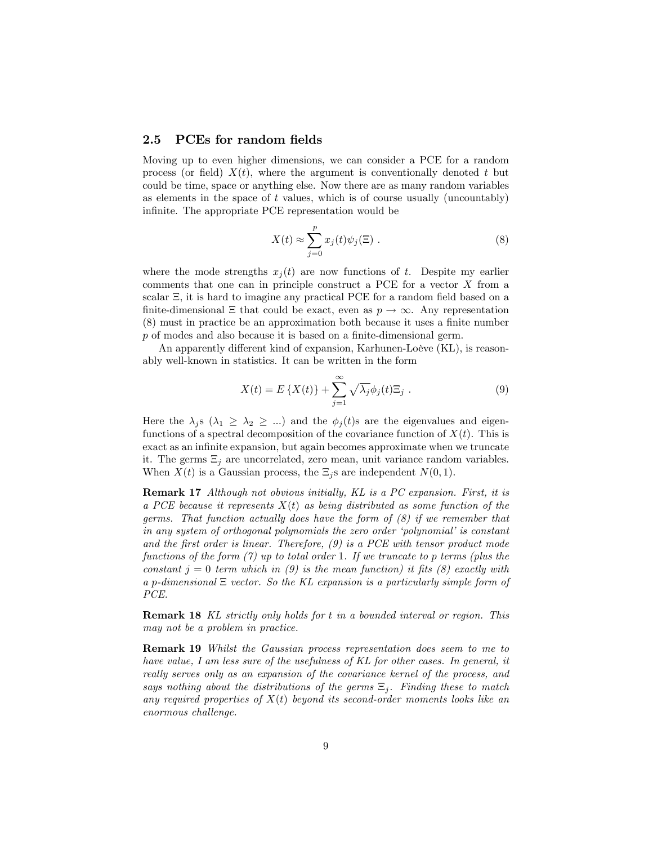#### 2.5 PCEs for random fields

Moving up to even higher dimensions, we can consider a PCE for a random process (or field)  $X(t)$ , where the argument is conventionally denoted t but could be time, space or anything else. Now there are as many random variables as elements in the space of  $t$  values, which is of course usually (uncountably) infinite. The appropriate PCE representation would be

$$
X(t) \approx \sum_{j=0}^{p} x_j(t)\psi_j(\Xi) . \tag{8}
$$

where the mode strengths  $x_i(t)$  are now functions of t. Despite my earlier comments that one can in principle construct a PCE for a vector X from a scalar  $E$ , it is hard to imagine any practical PCE for a random field based on a finite-dimensional  $\Xi$  that could be exact, even as  $p \to \infty$ . Any representation (8) must in practice be an approximation both because it uses a finite number  $p$  of modes and also because it is based on a finite-dimensional germ.

An apparently different kind of expansion, Karhunen-Loève  $(KL)$ , is reasonably well-known in statistics. It can be written in the form

$$
X(t) = E\left\{X(t)\right\} + \sum_{j=1}^{\infty} \sqrt{\lambda_j} \phi_j(t) \Xi_j . \tag{9}
$$

Here the  $\lambda_j$ s ( $\lambda_1 \geq \lambda_2 \geq ...$ ) and the  $\phi_j(t)$ s are the eigenvalues and eigenfunctions of a spectral decomposition of the covariance function of  $X(t)$ . This is exact as an infinite expansion, but again becomes approximate when we truncate it. The germs  $\Xi_i$  are uncorrelated, zero mean, unit variance random variables. When  $X(t)$  is a Gaussian process, the  $\Xi_j$ s are independent  $N(0, 1)$ .

Remark 17 Although not obvious initially, KL is a PC expansion. First, it is a PCE because it represents  $X(t)$  as being distributed as some function of the germs. That function actually does have the form of  $(8)$  if we remember that in any system of orthogonal polynomials the zero order  $'polynomial'$  is constant and the first order is linear. Therefore,  $(9)$  is a PCE with tensor product mode functions of the form  $(7)$  up to total order 1. If we truncate to p terms (plus the constant  $j = 0$  term which in (9) is the mean function) it fits (8) exactly with a p-dimensional  $\Xi$  vector. So the KL expansion is a particularly simple form of PCE.

Remark 18 KL strictly only holds for t in a bounded interval or region. This may not be a problem in practice.

Remark 19 Whilst the Gaussian process representation does seem to me to have value, I am less sure of the usefulness of KL for other cases. In general, it really serves only as an expansion of the covariance kernel of the process, and says nothing about the distributions of the germs  $\Xi_i$ . Finding these to match any required properties of  $X(t)$  beyond its second-order moments looks like an enormous challenge.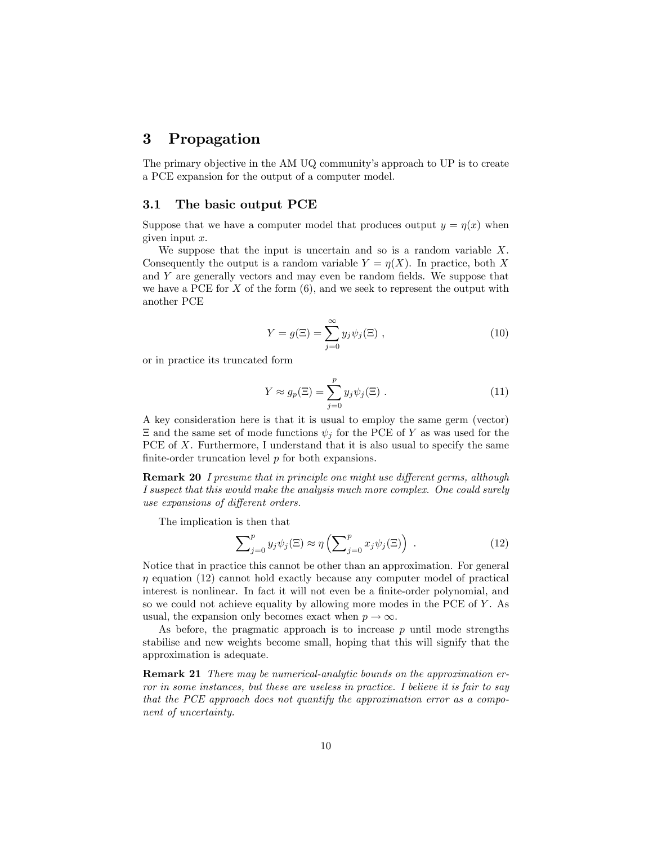### 3 Propagation

The primary objective in the AM UQ community's approach to UP is to create a PCE expansion for the output of a computer model.

#### 3.1 The basic output PCE

Suppose that we have a computer model that produces output  $y = \eta(x)$  when given input x.

We suppose that the input is uncertain and so is a random variable  $X$ . Consequently the output is a random variable  $Y = \eta(X)$ . In practice, both X and  $Y$  are generally vectors and may even be random fields. We suppose that we have a PCE for  $X$  of the form  $(6)$ , and we seek to represent the output with another PCE

$$
Y = g(\Xi) = \sum_{j=0}^{\infty} y_j \psi_j(\Xi) , \qquad (10)
$$

or in practice its truncated form

$$
Y \approx g_p(\Xi) = \sum_{j=0}^p y_j \psi_j(\Xi) . \qquad (11)
$$

A key consideration here is that it is usual to employ the same germ (vector)  $\Xi$  and the same set of mode functions  $\psi_i$  for the PCE of Y as was used for the PCE of  $X$ . Furthermore, I understand that it is also usual to specify the same finite-order truncation level  $p$  for both expansions.

**Remark 20** I presume that in principle one might use different germs, although I suspect that this would make the analysis much more complex. One could surely use expansions of different orders.

The implication is then that

$$
\sum_{j=0}^{p} y_j \psi_j(\Xi) \approx \eta \left( \sum_{j=0}^{p} x_j \psi_j(\Xi) \right) . \tag{12}
$$

Notice that in practice this cannot be other than an approximation. For general  $\eta$  equation (12) cannot hold exactly because any computer model of practical interest is nonlinear. In fact it will not even be a finite-order polynomial, and so we could not achieve equality by allowing more modes in the PCE of Y. As usual, the expansion only becomes exact when  $p \to \infty$ .

As before, the pragmatic approach is to increase  $p$  until mode strengths stabilise and new weights become small, hoping that this will signify that the approximation is adequate.

Remark 21 There may be numerical-analytic bounds on the approximation error in some instances, but these are useless in practice. I believe it is fair to say that the PCE approach does not quantify the approximation error as a component of uncertainty.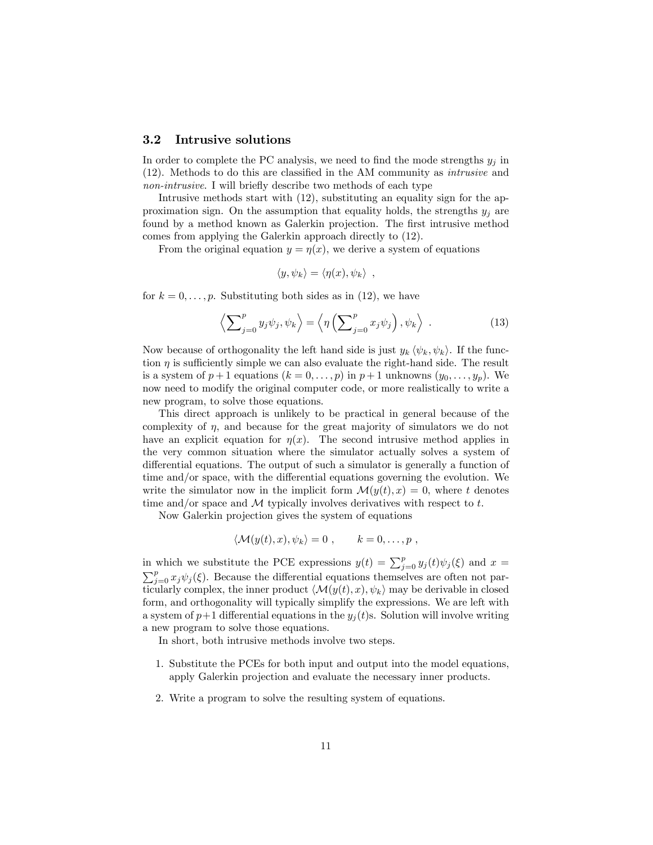#### 3.2 Intrusive solutions

In order to complete the PC analysis, we need to find the mode strengths  $y_i$  in  $(12)$ . Methods to do this are classified in the AM community as *intrusive* and non-intrusive. I will briefly describe two methods of each type

Intrusive methods start with (12), substituting an equality sign for the approximation sign. On the assumption that equality holds, the strengths  $y_i$  are found by a method known as Galerkin projection. The first intrusive method comes from applying the Galerkin approach directly to (12).

From the original equation  $y = \eta(x)$ , we derive a system of equations

$$
\langle y, \psi_k \rangle = \langle \eta(x), \psi_k \rangle \ ,
$$

for  $k = 0, \ldots, p$ . Substituting both sides as in (12), we have

$$
\left\langle \sum_{j=0}^{p} y_j \psi_j, \psi_k \right\rangle = \left\langle \eta \left( \sum_{j=0}^{p} x_j \psi_j \right), \psi_k \right\rangle . \tag{13}
$$

Now because of orthogonality the left hand side is just  $y_k \langle \psi_k, \psi_k \rangle$ . If the function  $\eta$  is sufficiently simple we can also evaluate the right-hand side. The result is a system of  $p+1$  equations  $(k = 0, \ldots, p)$  in  $p+1$  unknowns  $(y_0, \ldots, y_p)$ . We now need to modify the original computer code, or more realistically to write a new program, to solve those equations.

This direct approach is unlikely to be practical in general because of the complexity of  $\eta$ , and because for the great majority of simulators we do not have an explicit equation for  $\eta(x)$ . The second intrusive method applies in the very common situation where the simulator actually solves a system of differential equations. The output of such a simulator is generally a function of time and/or space, with the differential equations governing the evolution. We write the simulator now in the implicit form  $\mathcal{M}(y(t), x) = 0$ , where t denotes time and/or space and  $M$  typically involves derivatives with respect to  $t$ .

Now Galerkin projection gives the system of equations

$$
\langle \mathcal{M}(y(t),x),\psi_k\rangle=0\;, \qquad k=0,\ldots,p\;,
$$

in which we substitute the PCE expressions  $y(t) = \sum_{i=0}^{p} y_i(t)\psi_i(\xi)$  and  $x =$ in which we substitute the PCE expressions  $y(t) = \sum_{j=0}^{p} y_j(t)\psi_j(\xi)$  and  $x = \sum_{j=0}^{p} x_j \psi_j(\xi)$ . Because the differential equations themselves are often not particularly complex, the inner product  $\langle \mathcal{M}(y(t), x), \psi_k \rangle$  may be derivable in closed form, and orthogonality will typically simplify the expressions. We are left with a system of  $p+1$  differential equations in the  $y_i(t)$ s. Solution will involve writing a new program to solve those equations.

In short, both intrusive methods involve two steps.

- 1. Substitute the PCEs for both input and output into the model equations, apply Galerkin projection and evaluate the necessary inner products.
- 2. Write a program to solve the resulting system of equations.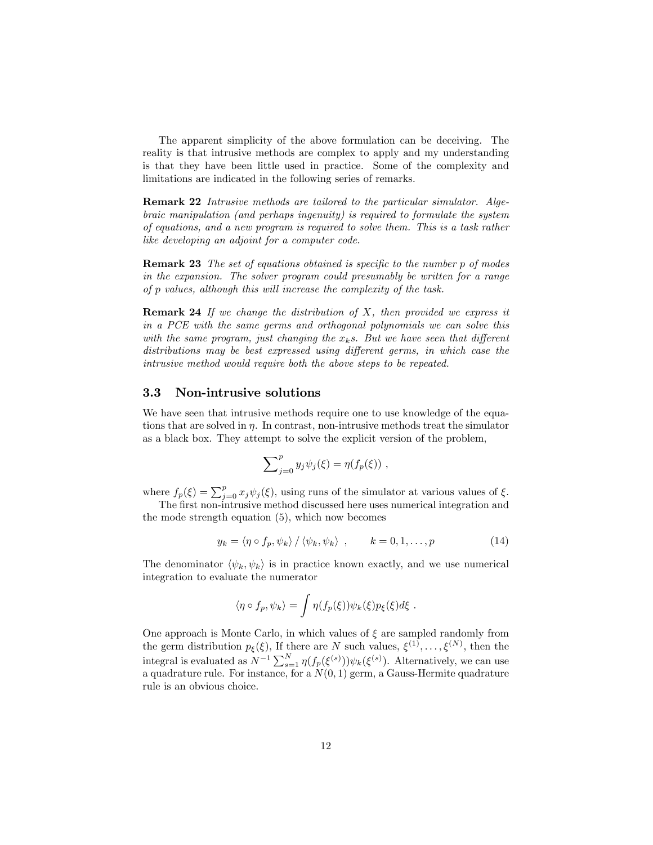The apparent simplicity of the above formulation can be deceiving. The reality is that intrusive methods are complex to apply and my understanding is that they have been little used in practice. Some of the complexity and limitations are indicated in the following series of remarks.

Remark 22 Intrusive methods are tailored to the particular simulator. Algebraic manipulation (and perhaps ingenuity) is required to formulate the system of equations, and a new program is required to solve them. This is a task rather like developing an adjoint for a computer code.

**Remark 23** The set of equations obtained is specific to the number p of modes in the expansion. The solver program could presumably be written for a range of p values, although this will increase the complexity of the task.

**Remark 24** If we change the distribution of  $X$ , then provided we express it in a PCE with the same germs and orthogonal polynomials we can solve this with the same program, just changing the  $x<sub>k</sub>$ s. But we have seen that different distributions may be best expressed using different germs, in which case the intrusive method would require both the above steps to be repeated.

#### 3.3 Non-intrusive solutions

We have seen that intrusive methods require one to use knowledge of the equations that are solved in  $\eta$ . In contrast, non-intrusive methods treat the simulator as a black box. They attempt to solve the explicit version of the problem,

$$
\sum_{j=0}^p y_j \psi_j(\xi) = \eta(f_p(\xi)) ,
$$

where  $f_p(\xi) = \sum_{j=0}^p x_j \psi_j(\xi)$ , using runs of the simulator at various values of  $\xi$ . The first non-intrusive method discussed here uses numerical integration and

the mode strength equation (5), which now becomes

$$
y_k = \langle \eta \circ f_p, \psi_k \rangle / \langle \psi_k, \psi_k \rangle , \qquad k = 0, 1, \dots, p
$$
 (14)

The denominator  $\langle \psi_k, \psi_k \rangle$  is in practice known exactly, and we use numerical integration to evaluate the numerator

$$
\langle \eta \circ f_p, \psi_k \rangle = \int \eta(f_p(\xi)) \psi_k(\xi) p_{\xi}(\xi) d\xi.
$$

One approach is Monte Carlo, in which values of  $\xi$  are sampled randomly from the germ distribution  $p_{\xi}(\xi)$ , If there are N such values,  $\xi^{(1)}, \ldots, \xi^{(N)}$ , then the integral is evaluated as  $N^{-1} \sum_{s=1}^{N} \eta(f_p(\xi^{(s)})) \psi_k(\xi^{(s)})$ . Alternatively, we can use a quadrature rule. For instance, for a  $N(0, 1)$  germ, a Gauss-Hermite quadrature rule is an obvious choice.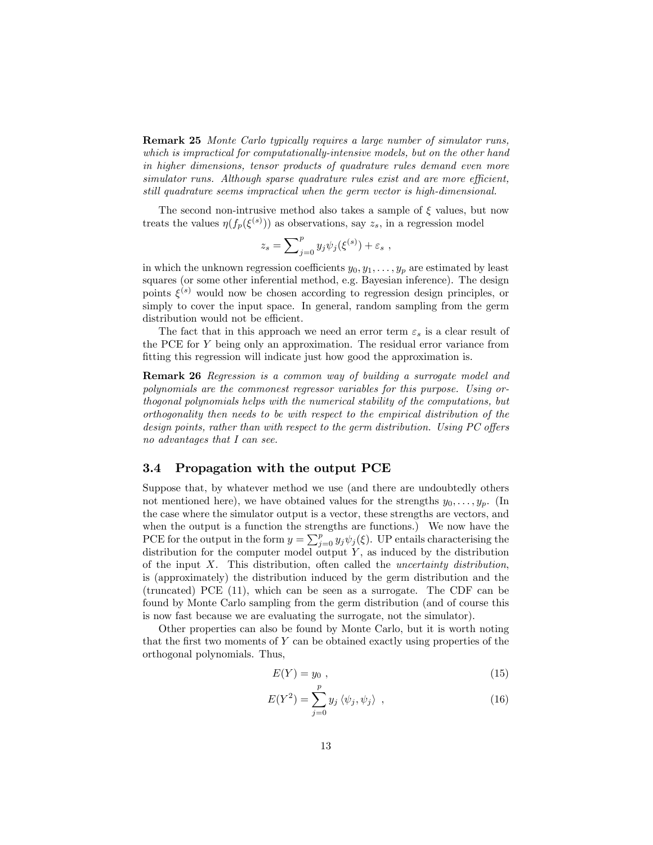Remark 25 Monte Carlo typically requires a large number of simulator runs, which is impractical for computationally-intensive models, but on the other hand in higher dimensions, tensor products of quadrature rules demand even more  $simulator runs. Although sparse quadrature rules exist and are more efficient,$ still quadrature seems impractical when the germ vector is high-dimensional.

The second non-intrusive method also takes a sample of  $\xi$  values, but now treats the values  $\eta(f_p(\xi^{(s)}))$  as observations, say  $z_s$ , in a regression model

$$
z_s = \sum_{j=0}^p y_j \psi_j(\xi^{(s)}) + \varepsilon_s ,
$$

in which the unknown regression coefficients  $y_0, y_1, \ldots, y_p$  are estimated by least squares (or some other inferential method, e.g. Bayesian inference). The design points  $\xi^{(s)}$  would now be chosen according to regression design principles, or simply to cover the input space. In general, random sampling from the germ distribution would not be efficient.

The fact that in this approach we need an error term  $\varepsilon_s$  is a clear result of the PCE for Y being only an approximation. The residual error variance from fitting this regression will indicate just how good the approximation is.

Remark 26 Regression is a common way of building a surrogate model and polynomials are the commonest regressor variables for this purpose. Using orthogonal polynomials helps with the numerical stability of the computations, but orthogonality then needs to be with respect to the empirical distribution of the design points, rather than with respect to the germ distribution. Using  $PC$  offers no advantages that I can see.

#### 3.4 Propagation with the output PCE

Suppose that, by whatever method we use (and there are undoubtedly others not mentioned here), we have obtained values for the strengths  $y_0, \ldots, y_p$ . (In the case where the simulator output is a vector, these strengths are vectors, and when the output is a function the strengths are functions.) We now have the PCE for the output in the form  $y = \sum_{j=0}^{p} y_j \psi_j(\xi)$ . UP entails characterising the distribution for the computer model output  $Y$ , as induced by the distribution of the input  $X$ . This distribution, often called the *uncertainty distribution*, is (approximately) the distribution induced by the germ distribution and the (truncated) PCE (11), which can be seen as a surrogate. The CDF can be found by Monte Carlo sampling from the germ distribution (and of course this is now fast because we are evaluating the surrogate, not the simulator).

Other properties can also be found by Monte Carlo, but it is worth noting that the first two moments of  $Y$  can be obtained exactly using properties of the orthogonal polynomials. Thus,

$$
E(Y) = y_0 \t{,} \t(15)
$$

$$
E(Y^2) = \sum_{j=0}^{p} y_j \langle \psi_j, \psi_j \rangle , \qquad (16)
$$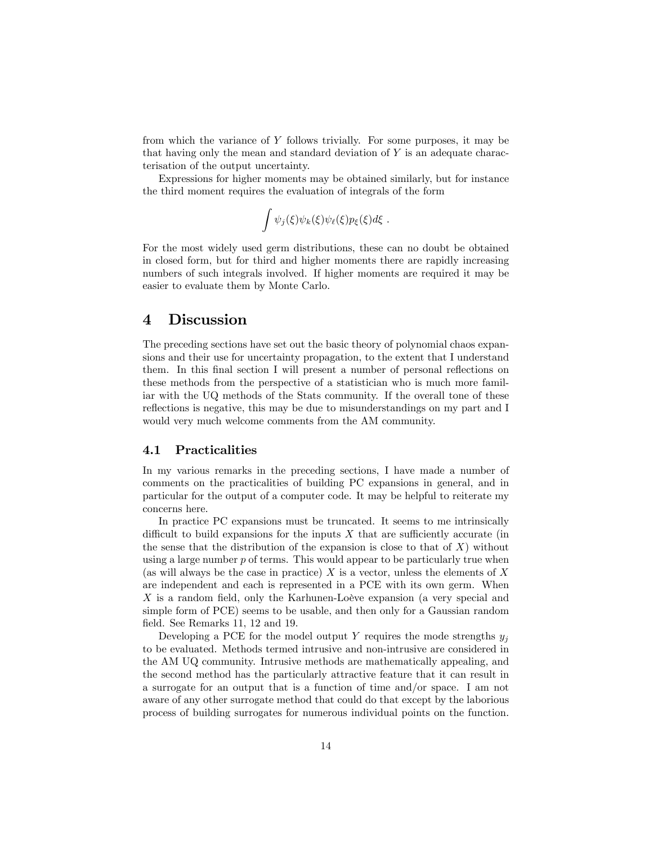from which the variance of Y follows trivially. For some purposes, it may be that having only the mean and standard deviation of  $Y$  is an adequate characterisation of the output uncertainty.

Expressions for higher moments may be obtained similarly, but for instance the third moment requires the evaluation of integrals of the form

$$
\int \psi_j(\xi)\psi_k(\xi)\psi_\ell(\xi)p_\xi(\xi)d\xi.
$$

For the most widely used germ distributions, these can no doubt be obtained in closed form, but for third and higher moments there are rapidly increasing numbers of such integrals involved. If higher moments are required it may be easier to evaluate them by Monte Carlo.

### 4 Discussion

The preceding sections have set out the basic theory of polynomial chaos expansions and their use for uncertainty propagation, to the extent that I understand them. In this final section I will present a number of personal reflections on these methods from the perspective of a statistician who is much more familiar with the UQ methods of the Stats community. If the overall tone of these reflections is negative, this may be due to misunderstandings on my part and I would very much welcome comments from the AM community.

#### 4.1 Practicalities

In my various remarks in the preceding sections, I have made a number of comments on the practicalities of building PC expansions in general, and in particular for the output of a computer code. It may be helpful to reiterate my concerns here.

In practice PC expansions must be truncated. It seems to me intrinsically difficult to build expansions for the inputs  $X$  that are sufficiently accurate (in the sense that the distribution of the expansion is close to that of  $X$ ) without using a large number p of terms. This would appear to be particularly true when (as will always be the case in practice)  $X$  is a vector, unless the elements of  $X$ are independent and each is represented in a PCE with its own germ. When  $X$  is a random field, only the Karhunen-Loève expansion (a very special and simple form of PCE) seems to be usable, and then only for a Gaussian random field. See Remarks 11, 12 and 19.

Developing a PCE for the model output Y requires the mode strengths  $y_i$ to be evaluated. Methods termed intrusive and non-intrusive are considered in the AM UQ community. Intrusive methods are mathematically appealing, and the second method has the particularly attractive feature that it can result in a surrogate for an output that is a function of time and/or space. I am not aware of any other surrogate method that could do that except by the laborious process of building surrogates for numerous individual points on the function.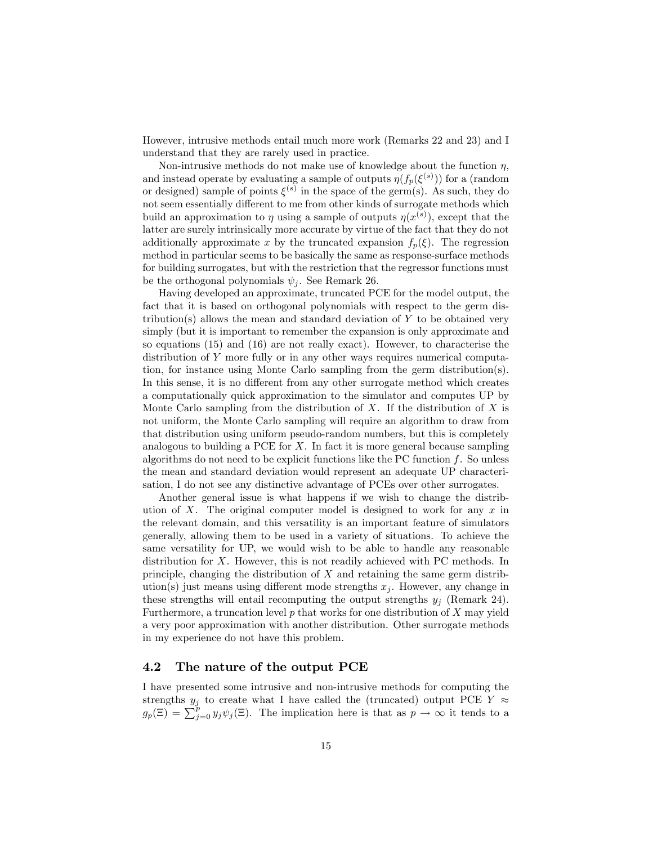However, intrusive methods entail much more work (Remarks 22 and 23) and I understand that they are rarely used in practice.

Non-intrusive methods do not make use of knowledge about the function  $\eta$ , and instead operate by evaluating a sample of outputs  $\eta(f_p(\xi^{(s)}))$  for a (random or designed) sample of points  $\xi^{(s)}$  in the space of the germ(s). As such, they do not seem essentially different to me from other kinds of surrogate methods which build an approximation to  $\eta$  using a sample of outputs  $\eta(x^{(s)})$ , except that the latter are surely intrinsically more accurate by virtue of the fact that they do not additionally approximate x by the truncated expansion  $f_p(\xi)$ . The regression method in particular seems to be basically the same as response-surface methods for building surrogates, but with the restriction that the regressor functions must be the orthogonal polynomials  $\psi_i$ . See Remark 26.

Having developed an approximate, truncated PCE for the model output, the fact that it is based on orthogonal polynomials with respect to the germ distribution(s) allows the mean and standard deviation of  $Y$  to be obtained very simply (but it is important to remember the expansion is only approximate and so equations (15) and (16) are not really exact). However, to characterise the distribution of Y more fully or in any other ways requires numerical computation, for instance using Monte Carlo sampling from the germ distribution(s). In this sense, it is no different from any other surrogate method which creates a computationally quick approximation to the simulator and computes UP by Monte Carlo sampling from the distribution of  $X$ . If the distribution of  $X$  is not uniform, the Monte Carlo sampling will require an algorithm to draw from that distribution using uniform pseudo-random numbers, but this is completely analogous to building a PCE for  $X$ . In fact it is more general because sampling algorithms do not need to be explicit functions like the PC function  $f$ . So unless the mean and standard deviation would represent an adequate UP characterisation, I do not see any distinctive advantage of PCEs over other surrogates.

Another general issue is what happens if we wish to change the distribution of X. The original computer model is designed to work for any  $x$  in the relevant domain, and this versatility is an important feature of simulators generally, allowing them to be used in a variety of situations. To achieve the same versatility for UP, we would wish to be able to handle any reasonable distribution for X. However, this is not readily achieved with PC methods. In principle, changing the distribution of  $X$  and retaining the same germ distribution(s) just means using different mode strengths  $x_i$ . However, any change in these strengths will entail recomputing the output strengths  $y_i$  (Remark 24). Furthermore, a truncation level  $p$  that works for one distribution of  $X$  may yield a very poor approximation with another distribution. Other surrogate methods in my experience do not have this problem.

#### 4.2 The nature of the output PCE

I have presented some intrusive and non-intrusive methods for computing the strengths  $y_j$  to create what I have called the (truncated) output PCE  $Y \approx$  $g_p(\Xi) = \sum_{j=0}^p y_j \psi_j(\Xi)$ . The implication here is that as  $p \to \infty$  it tends to a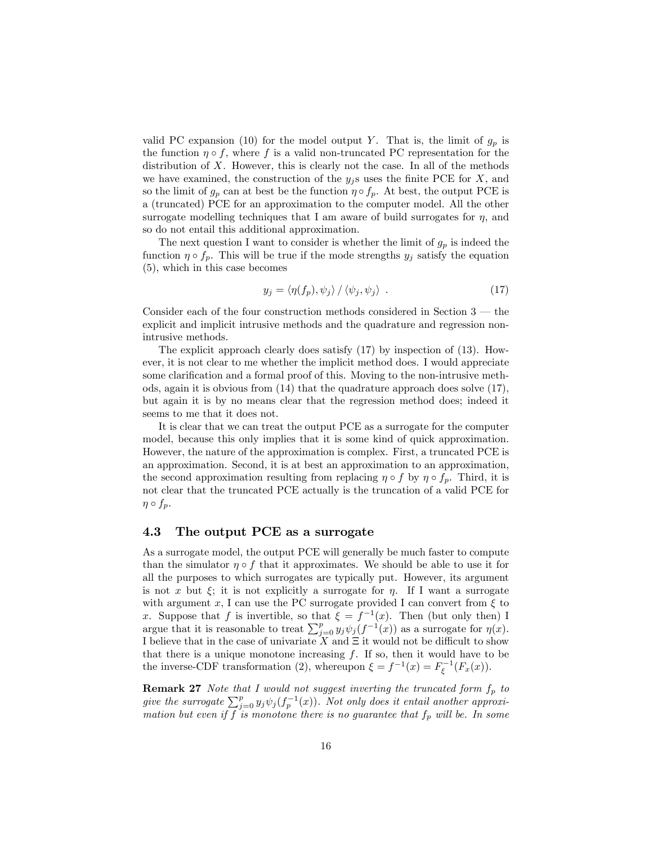valid PC expansion (10) for the model output Y. That is, the limit of  $g_p$  is the function  $\eta \circ f$ , where f is a valid non-truncated PC representation for the distribution of X. However, this is clearly not the case. In all of the methods we have examined, the construction of the  $y_j$ s uses the finite PCE for X, and so the limit of  $g_p$  can at best be the function  $\eta \circ f_p$ . At best, the output PCE is a (truncated) PCE for an approximation to the computer model. All the other surrogate modelling techniques that I am aware of build surrogates for  $\eta$ , and so do not entail this additional approximation.

The next question I want to consider is whether the limit of  $g_p$  is indeed the function  $\eta \circ f_p$ . This will be true if the mode strengths  $y_j$  satisfy the equation (5), which in this case becomes

$$
y_j = \langle \eta(f_p), \psi_j \rangle / \langle \psi_j, \psi_j \rangle . \tag{17}
$$

Consider each of the four construction methods considered in Section  $3$  – the explicit and implicit intrusive methods and the quadrature and regression nonintrusive methods.

The explicit approach clearly does satisfy (17) by inspection of (13). However, it is not clear to me whether the implicit method does. I would appreciate some clarification and a formal proof of this. Moving to the non-intrusive methods, again it is obvious from (14) that the quadrature approach does solve (17), but again it is by no means clear that the regression method does; indeed it seems to me that it does not.

It is clear that we can treat the output PCE as a surrogate for the computer model, because this only implies that it is some kind of quick approximation. However, the nature of the approximation is complex. First, a truncated PCE is an approximation. Second, it is at best an approximation to an approximation, the second approximation resulting from replacing  $\eta \circ f$  by  $\eta \circ f_p$ . Third, it is not clear that the truncated PCE actually is the truncation of a valid PCE for  $\eta \circ f_p$ .

#### 4.3 The output PCE as a surrogate

As a surrogate model, the output PCE will generally be much faster to compute than the simulator  $\eta \circ f$  that it approximates. We should be able to use it for all the purposes to which surrogates are typically put. However, its argument is not x but  $\xi$ ; it is not explicitly a surrogate for  $\eta$ . If I want a surrogate with argument x, I can use the PC surrogate provided I can convert from  $\xi$  to x. Suppose that f is invertible, so that  $\xi = f^{-1}(x)$ . Then (but only then) I argue that it is reasonable to treat  $\sum_{j=0}^{p} y_j \psi_j(f^{-1}(x))$  as a surrogate for  $\eta(x)$ . I believe that in the case of univariate X and  $\Xi$  it would not be difficult to show that there is a unique monotone increasing  $f$ . If so, then it would have to be the inverse-CDF transformation (2), whereupon  $\xi = f^{-1}(x) = F_{\xi}^{-1}(F_x(x))$ .

**Remark 27** Note that I would not suggest inverting the truncated form  $f_p$  to give the surrogate  $\sum_{j=0}^p y_j \psi_j(f_p^{-1}(x))$ . Not only does it entail another approximation but even if f is monotone there is no guarantee that  $f_p$  will be. In some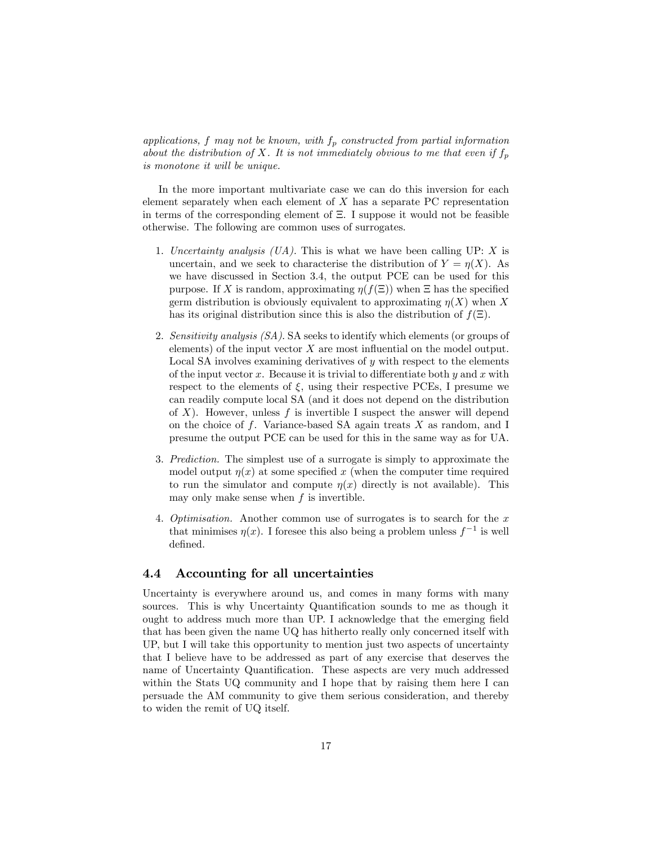applications, f may not be known, with  $f_p$  constructed from partial information about the distribution of X. It is not immediately obvious to me that even if  $f_p$ is monotone it will be unique.

In the more important multivariate case we can do this inversion for each element separately when each element of  $X$  has a separate PC representation in terms of the corresponding element of  $\Xi$ . I suppose it would not be feasible otherwise. The following are common uses of surrogates.

- 1. Uncertainty analysis  $(UA)$ . This is what we have been calling UP: X is uncertain, and we seek to characterise the distribution of  $Y = \eta(X)$ . As we have discussed in Section 3.4, the output PCE can be used for this purpose. If X is random, approximating  $\eta(f(\Xi))$  when  $\Xi$  has the specified germ distribution is obviously equivalent to approximating  $\eta(X)$  when X has its original distribution since this is also the distribution of  $f(\Xi)$ .
- 2. Sensitivity analysis (SA). SA seeks to identify which elements (or groups of elements) of the input vector  $X$  are most influential on the model output. Local SA involves examining derivatives of  $y$  with respect to the elements of the input vector x. Because it is trivial to differentiate both y and x with respect to the elements of  $\xi$ , using their respective PCEs, I presume we can readily compute local SA (and it does not depend on the distribution of  $X$ ). However, unless f is invertible I suspect the answer will depend on the choice of f. Variance-based SA again treats  $X$  as random, and I presume the output PCE can be used for this in the same way as for UA.
- 3. Prediction. The simplest use of a surrogate is simply to approximate the model output  $\eta(x)$  at some specified x (when the computer time required to run the simulator and compute  $\eta(x)$  directly is not available). This may only make sense when  $f$  is invertible.
- 4. Optimisation. Another common use of surrogates is to search for the  $x$ that minimises  $\eta(x)$ . I foresee this also being a problem unless  $f^{-1}$  is well defined.

#### 4.4 Accounting for all uncertainties

Uncertainty is everywhere around us, and comes in many forms with many sources. This is why Uncertainty Quantification sounds to me as though it ought to address much more than UP. I acknowledge that the emerging field that has been given the name UQ has hitherto really only concerned itself with UP, but I will take this opportunity to mention just two aspects of uncertainty that I believe have to be addressed as part of any exercise that deserves the name of Uncertainty Quantification. These aspects are very much addressed within the Stats UQ community and I hope that by raising them here I can persuade the AM community to give them serious consideration, and thereby to widen the remit of UQ itself.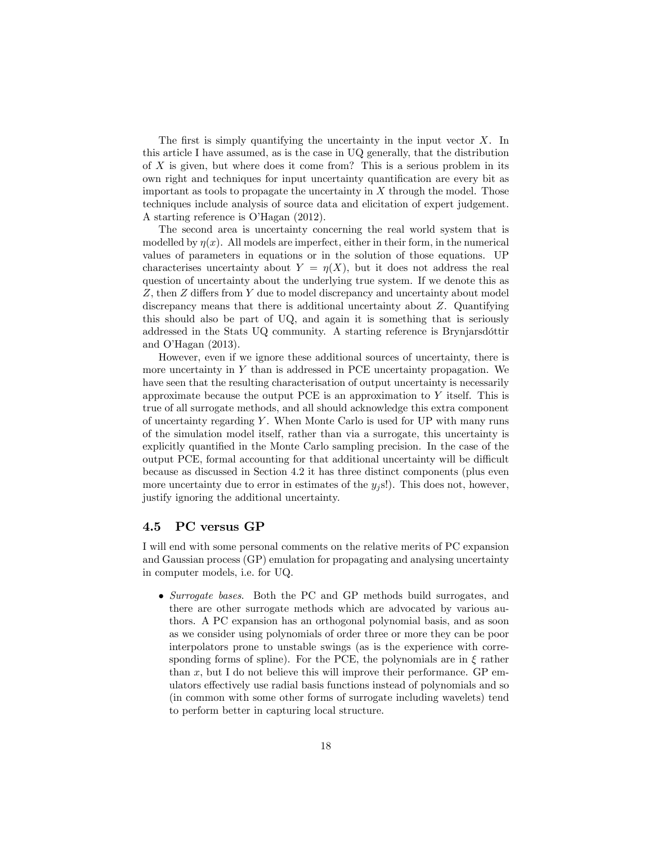The first is simply quantifying the uncertainty in the input vector  $X$ . In this article I have assumed, as is the case in UQ generally, that the distribution of  $X$  is given, but where does it come from? This is a serious problem in its own right and techniques for input uncertainty quantification are every bit as important as tools to propagate the uncertainty in  $X$  through the model. Those techniques include analysis of source data and elicitation of expert judgement. A starting reference is O'Hagan (2012).

The second area is uncertainty concerning the real world system that is modelled by  $\eta(x)$ . All models are imperfect, either in their form, in the numerical values of parameters in equations or in the solution of those equations. UP characterises uncertainty about  $Y = \eta(X)$ , but it does not address the real question of uncertainty about the underlying true system. If we denote this as  $Z$ , then  $Z$  differs from  $Y$  due to model discrepancy and uncertainty about model discrepancy means that there is additional uncertainty about Z. Quantifying this should also be part of UQ, and again it is something that is seriously addressed in the Stats UQ community. A starting reference is Brynjarsd<sub>Ottir</sub> and O'Hagan  $(2013)$ .

However, even if we ignore these additional sources of uncertainty, there is more uncertainty in  $Y$  than is addressed in PCE uncertainty propagation. We have seen that the resulting characterisation of output uncertainty is necessarily approximate because the output PCE is an approximation to  $Y$  itself. This is true of all surrogate methods, and all should acknowledge this extra component of uncertainty regarding  $Y$ . When Monte Carlo is used for UP with many runs of the simulation model itself, rather than via a surrogate, this uncertainty is explicitly quantified in the Monte Carlo sampling precision. In the case of the output PCE, formal accounting for that additional uncertainty will be difficult because as discussed in Section 4.2 it has three distinct components (plus even more uncertainty due to error in estimates of the  $y_i$  s!). This does not, however, justify ignoring the additional uncertainty.

#### 4.5 PC versus GP

I will end with some personal comments on the relative merits of PC expansion and Gaussian process (GP) emulation for propagating and analysing uncertainty in computer models, i.e. for UQ.

• Surrogate bases. Both the PC and GP methods build surrogates, and there are other surrogate methods which are advocated by various authors. A PC expansion has an orthogonal polynomial basis, and as soon as we consider using polynomials of order three or more they can be poor interpolators prone to unstable swings (as is the experience with corresponding forms of spline). For the PCE, the polynomials are in  $\xi$  rather than  $x$ , but I do not believe this will improve their performance. GP emulators effectively use radial basis functions instead of polynomials and so (in common with some other forms of surrogate including wavelets) tend to perform better in capturing local structure.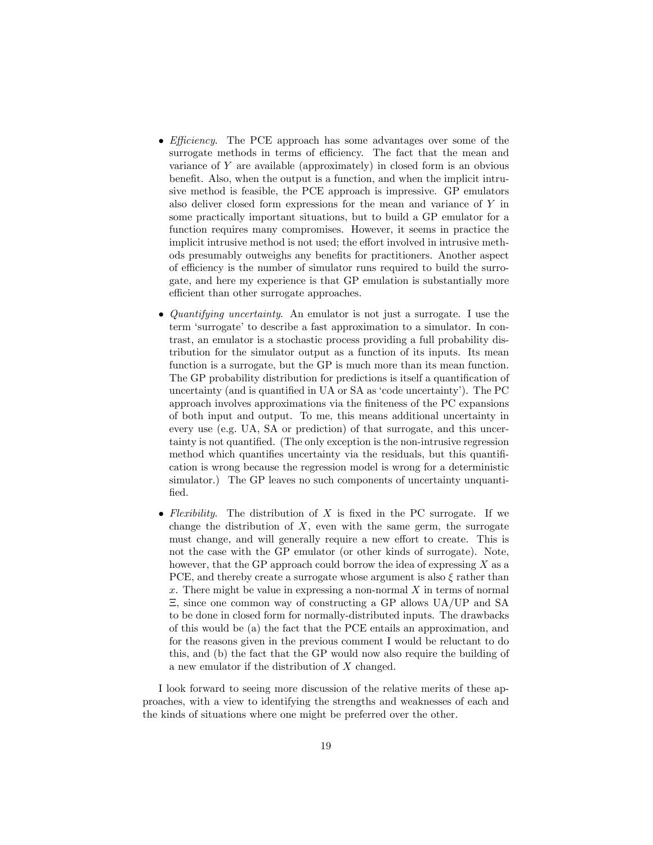- *Efficiency*. The PCE approach has some advantages over some of the surrogate methods in terms of efficiency. The fact that the mean and variance of Y are available (approximately) in closed form is an obvious benefit. Also, when the output is a function, and when the implicit intrusive method is feasible, the PCE approach is impressive. GP emulators also deliver closed form expressions for the mean and variance of Y in some practically important situations, but to build a GP emulator for a function requires many compromises. However, it seems in practice the implicit intrusive method is not used; the effort involved in intrusive methods presumably outweighs any benefits for practitioners. Another aspect of efficiency is the number of simulator runs required to build the surrogate, and here my experience is that GP emulation is substantially more efficient than other surrogate approaches.
- Quantifying uncertainty. An emulator is not just a surrogate. I use the term 'surrogate' to describe a fast approximation to a simulator. In contrast, an emulator is a stochastic process providing a full probability distribution for the simulator output as a function of its inputs. Its mean function is a surrogate, but the GP is much more than its mean function. The GP probability distribution for predictions is itself a quantification of uncertainty (and is quantified in UA or  $SA$  as 'code uncertainty'). The PC approach involves approximations via the finiteness of the PC expansions of both input and output. To me, this means additional uncertainty in every use (e.g. UA, SA or prediction) of that surrogate, and this uncertainty is not quantified. (The only exception is the non-intrusive regression method which quantifies uncertainty via the residuals, but this quantification is wrong because the regression model is wrong for a deterministic simulator.) The GP leaves no such components of uncertainty unquantified.
- Flexibility. The distribution of  $X$  is fixed in the PC surrogate. If we change the distribution of  $X$ , even with the same germ, the surrogate must change, and will generally require a new effort to create. This is not the case with the GP emulator (or other kinds of surrogate). Note, however, that the GP approach could borrow the idea of expressing  $X$  as a PCE, and thereby create a surrogate whose argument is also  $\xi$  rather than x. There might be value in expressing a non-normal  $X$  in terms of normal , since one common way of constructing a GP allows UA/UP and SA to be done in closed form for normally-distributed inputs. The drawbacks of this would be (a) the fact that the PCE entails an approximation, and for the reasons given in the previous comment I would be reluctant to do this, and (b) the fact that the GP would now also require the building of a new emulator if the distribution of X changed.

I look forward to seeing more discussion of the relative merits of these approaches, with a view to identifying the strengths and weaknesses of each and the kinds of situations where one might be preferred over the other.